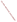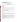# **Technical Factsheet on: HEXACHLOROCYCLOPENTADIENE (HEX)**

[List of Contaminants](http://www.epa.gov/safewater/hfacts.html) 

 As part of the Drinking Water and Health pages, this fact sheet is part of a larger publication: **National Primary Drinking Water Regulations** 

 MCL: 0.05 mg/L Drinking Water Standards MCLG: 0.05 mg/L HAL(child): none

## **Health Effects Summary**

Acute: EPA has found hexachlorocyclopentadiene (HEX) to potentially cause the following health effects from acute exposures at levels above the MCL: gastrointestinal distress; damage to liver, kidneys and heart.

 term exposures to this chemical in drinking water. At present, EPA has issued no drinking water health advisory providing guidance on safe levels for short-

 above the MCL: damage to the stomach and kidneys. Chronic: HEX has the potential to cause the following health effects from long-term exposures at levels

 drinking water. Cancer: There is no evidence that HEX has the potential to cause cancer from a lifetime exposure in

## **Usage Patterns**

It has been estimated that between 8 and 15 million lbs. of HEX are produced each year.

 Its greatest use is as an intermediate in chemical manufacture, including the synthesis of chlorinated pesticides, flame retardants, resins, dyes, pharmaceuticals, plastics, etc. HEX has no end uses of its own.

## **Release Patterns**

 contaminated wastewater from facilities which manufacture or use this compound as a chemical Major sources of release of hexachlorocyclopentadiene to the environment are emissions and intermediate, and from the application of pesticides where it may remain as an impurity. Other sources are air emissions from the incineration of certain chlorinated wastes, and from water treatment plants receiving contaminated wastestreams.

 chlorine industries. The largest releases occurred in New York. From 1987 to 1993, according to EPA's Toxic Chemical Release Inventory, HEX releases to land and water totalled only 78 lbs., all of which was to water. These releases were primarily from alkalis and

## **Environmental Fatev**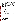predicted to be relatively immobile. In moist soil, this compound would be subject to breakdown by light and chemical reaction (half-life hours to weeks). Volatilization from soil surfaces is expected to be minor. Hexachlorocyclopentadiene is not a persistent environmental contaminant. If released to soil, it is

 If released to water, this compound will degrade within minutes to hours primarily by photolysis and chemical hydrolysis. Though HEX can adsorb to sediments, this does not slow its rate of degradation. Volatilization from water is expected to be a significant removal mechanism, although high turbidity could extend the half-life to several weeks. Biodegradation is expected to be of minor importance.

Hexachlorocyclopentadiene could potentially bioaccumulate in some aquatic organisms depending upon the species. Bioconcentration factors of hexachlorocyclopentadiene in a laboratory model ecosystem: alga, 341; snail, 929; mosquito, 1634; and fish, 448.

## **Chemical/ Physical Properties**

CAS Number: 77-47-4

Color/ Form/Odor: dense, oily, yellow green liquid with a pungent odor.

M.P.: -9 C B.P.: 239 C

Vapor Pressure: 0.08 mm Hg at 25 C

Octanol/Water Partition (Kow): Log Kow = 3.99

Density/Spec. Grav.: 1.7 at 25 C

Solubility: 2 m/L of water at 25 C; Insoluble in water

Soil sorption coefficient: Koc measured at 4,265; low mobility in soil

Odor/Taste Thresholds: N/A

Bioconcentration Factor: BCFs range from 100 to 1230 in fish; some potential to bioconcentrate in aquatic organisms.

Henry's Law Coefficient: 2.7x10-2 atm-cu m/mole;

Trade Names/Synonyms: HEX, Hexachloropentadiene

## **Other Regulatory Information**

Monitoring For Ground/Surface Water Sources:

 Initial Frequency- 4 quarterly samples every 3 years Repeat Frequency- If no detections during initial round: 2 quarterly per year if serving >3300 persons; 1 sample per 3 years for smaller systems 1 sample per 3 years for smaller systems Triggers - Return to Initial Freq. if detect at > 0.0002 mg/L Analysis: **Reference Source Method Numbers**